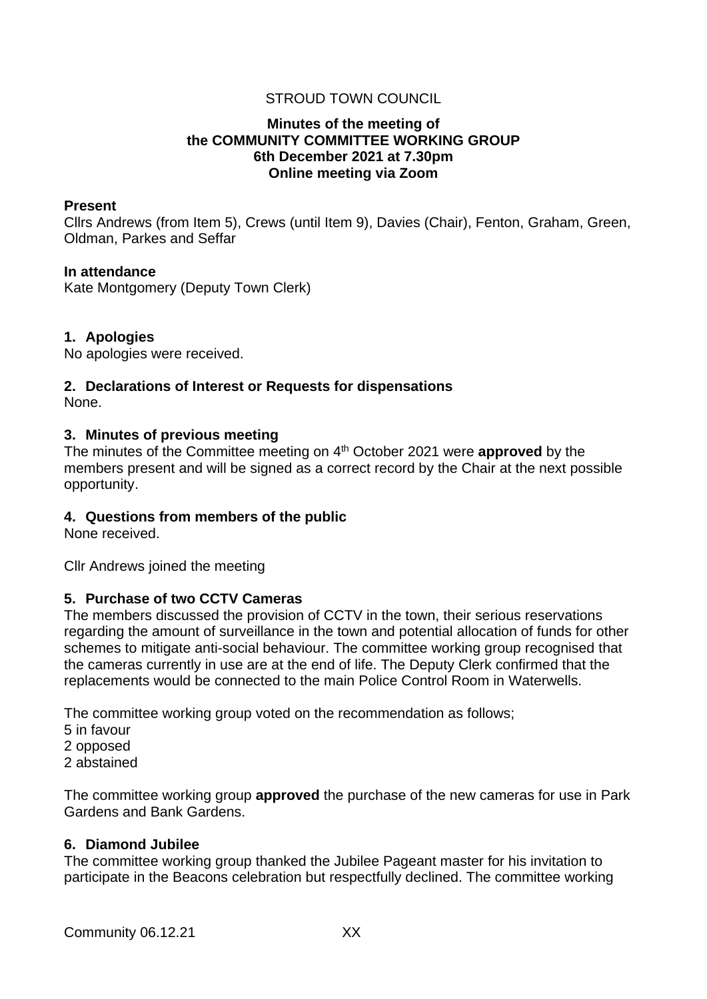## STROUD TOWN COUNCIL

### **Minutes of the meeting of the COMMUNITY COMMITTEE WORKING GROUP 6th December 2021 at 7.30pm Online meeting via Zoom**

#### **Present**

Cllrs Andrews (from Item 5), Crews (until Item 9), Davies (Chair), Fenton, Graham, Green, Oldman, Parkes and Seffar

#### **In attendance**

Kate Montgomery (Deputy Town Clerk)

#### **1. Apologies**

No apologies were received.

# **2. Declarations of Interest or Requests for dispensations**

None.

#### **3. Minutes of previous meeting**

The minutes of the Committee meeting on 4th October 2021 were **approved** by the members present and will be signed as a correct record by the Chair at the next possible opportunity.

## **4. Questions from members of the public**

None received.

Cllr Andrews joined the meeting

#### **5. Purchase of two CCTV Cameras**

The members discussed the provision of CCTV in the town, their serious reservations regarding the amount of surveillance in the town and potential allocation of funds for other schemes to mitigate anti-social behaviour. The committee working group recognised that the cameras currently in use are at the end of life. The Deputy Clerk confirmed that the replacements would be connected to the main Police Control Room in Waterwells.

The committee working group voted on the recommendation as follows;

- 5 in favour
- 2 opposed
- 2 abstained

The committee working group **approved** the purchase of the new cameras for use in Park Gardens and Bank Gardens.

#### **6. Diamond Jubilee**

The committee working group thanked the Jubilee Pageant master for his invitation to participate in the Beacons celebration but respectfully declined. The committee working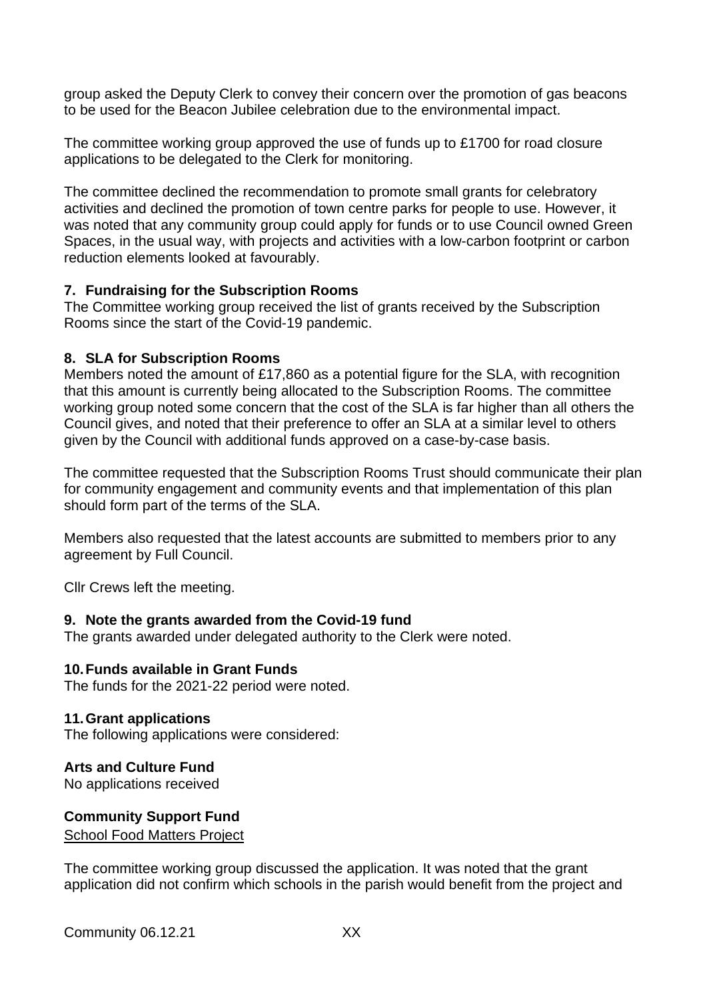group asked the Deputy Clerk to convey their concern over the promotion of gas beacons to be used for the Beacon Jubilee celebration due to the environmental impact.

The committee working group approved the use of funds up to £1700 for road closure applications to be delegated to the Clerk for monitoring.

The committee declined the recommendation to promote small grants for celebratory activities and declined the promotion of town centre parks for people to use. However, it was noted that any community group could apply for funds or to use Council owned Green Spaces, in the usual way, with projects and activities with a low-carbon footprint or carbon reduction elements looked at favourably.

## **7. Fundraising for the Subscription Rooms**

The Committee working group received the list of grants received by the Subscription Rooms since the start of the Covid-19 pandemic.

## **8. SLA for Subscription Rooms**

Members noted the amount of £17,860 as a potential figure for the SLA, with recognition that this amount is currently being allocated to the Subscription Rooms. The committee working group noted some concern that the cost of the SLA is far higher than all others the Council gives, and noted that their preference to offer an SLA at a similar level to others given by the Council with additional funds approved on a case-by-case basis.

The committee requested that the Subscription Rooms Trust should communicate their plan for community engagement and community events and that implementation of this plan should form part of the terms of the SLA.

Members also requested that the latest accounts are submitted to members prior to any agreement by Full Council.

Cllr Crews left the meeting.

## **9. Note the grants awarded from the Covid-19 fund**

The grants awarded under delegated authority to the Clerk were noted.

## **10.Funds available in Grant Funds**

The funds for the 2021-22 period were noted.

## **11.Grant applications**

The following applications were considered:

## **Arts and Culture Fund**

No applications received

# **Community Support Fund**

School Food Matters Project

The committee working group discussed the application. It was noted that the grant application did not confirm which schools in the parish would benefit from the project and